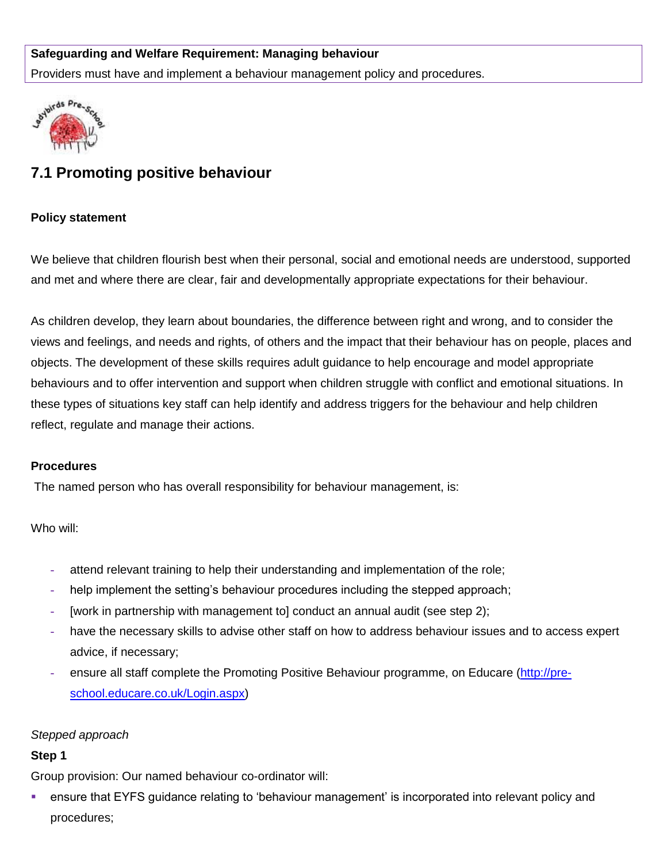## **Safeguarding and Welfare Requirement: Managing behaviour**

Providers must have and implement a behaviour management policy and procedures.



# **7.1 Promoting positive behaviour**

#### **Policy statement**

We believe that children flourish best when their personal, social and emotional needs are understood, supported and met and where there are clear, fair and developmentally appropriate expectations for their behaviour.

As children develop, they learn about boundaries, the difference between right and wrong, and to consider the views and feelings, and needs and rights, of others and the impact that their behaviour has on people, places and objects. The development of these skills requires adult guidance to help encourage and model appropriate behaviours and to offer intervention and support when children struggle with conflict and emotional situations. In these types of situations key staff can help identify and address triggers for the behaviour and help children reflect, regulate and manage their actions.

#### **Procedures**

The named person who has overall responsibility for behaviour management, is:

Who will:

- **-** attend relevant training to help their understanding and implementation of the role;
- **-** help implement the setting's behaviour procedures including the stepped approach;
- **-** [work in partnership with management to] conduct an annual audit (see step 2);
- **-** have the necessary skills to advise other staff on how to address behaviour issues and to access expert advice, if necessary;
- **-** ensure all staff complete the Promoting Positive Behaviour programme, on Educare [\(http://pre](http://pre-school.educare.co.uk/Login.aspx)[school.educare.co.uk/Login.aspx\)](http://pre-school.educare.co.uk/Login.aspx)

## *Stepped approach*

## **Step 1**

Group provision: Our named behaviour co-ordinator will:

 ensure that EYFS guidance relating to 'behaviour management' is incorporated into relevant policy and procedures;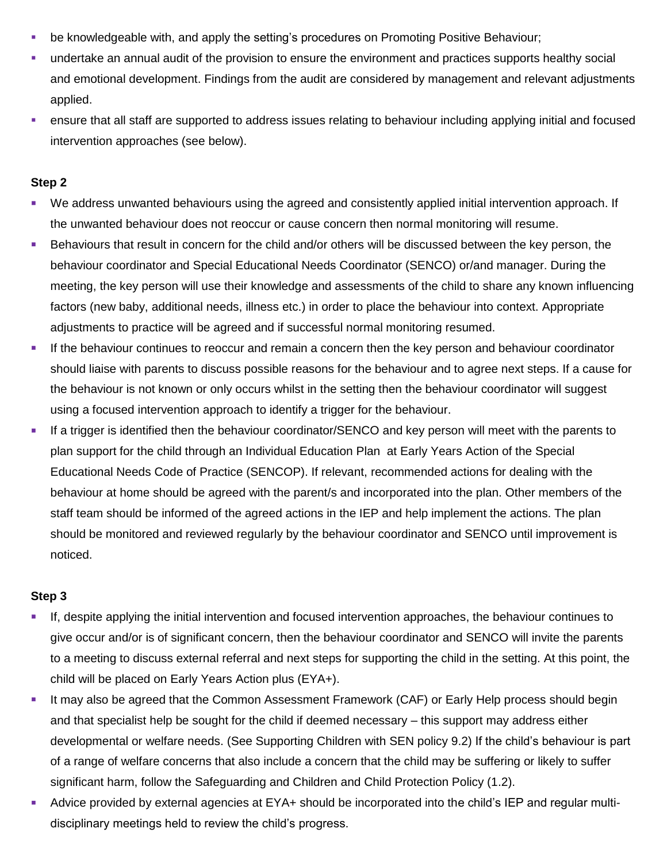- be knowledgeable with, and apply the setting's procedures on Promoting Positive Behaviour;
- undertake an annual audit of the provision to ensure the environment and practices supports healthy social and emotional development. Findings from the audit are considered by management and relevant adjustments applied.
- ensure that all staff are supported to address issues relating to behaviour including applying initial and focused intervention approaches (see below).

#### **Step 2**

- We address unwanted behaviours using the agreed and consistently applied initial intervention approach. If the unwanted behaviour does not reoccur or cause concern then normal monitoring will resume.
- Behaviours that result in concern for the child and/or others will be discussed between the key person, the behaviour coordinator and Special Educational Needs Coordinator (SENCO) or/and manager. During the meeting, the key person will use their knowledge and assessments of the child to share any known influencing factors (new baby, additional needs, illness etc.) in order to place the behaviour into context. Appropriate adjustments to practice will be agreed and if successful normal monitoring resumed.
- If the behaviour continues to reoccur and remain a concern then the key person and behaviour coordinator should liaise with parents to discuss possible reasons for the behaviour and to agree next steps. If a cause for the behaviour is not known or only occurs whilst in the setting then the behaviour coordinator will suggest using a focused intervention approach to identify a trigger for the behaviour.
- If a trigger is identified then the behaviour coordinator/SENCO and key person will meet with the parents to plan support for the child through an Individual Education Plan at Early Years Action of the Special Educational Needs Code of Practice (SENCOP). If relevant, recommended actions for dealing with the behaviour at home should be agreed with the parent/s and incorporated into the plan. Other members of the staff team should be informed of the agreed actions in the IEP and help implement the actions. The plan should be monitored and reviewed regularly by the behaviour coordinator and SENCO until improvement is noticed.

#### **Step 3**

- If, despite applying the initial intervention and focused intervention approaches, the behaviour continues to give occur and/or is of significant concern, then the behaviour coordinator and SENCO will invite the parents to a meeting to discuss external referral and next steps for supporting the child in the setting. At this point, the child will be placed on Early Years Action plus (EYA+).
- It may also be agreed that the Common Assessment Framework (CAF) or Early Help process should begin and that specialist help be sought for the child if deemed necessary – this support may address either developmental or welfare needs. (See Supporting Children with SEN policy 9.2) If the child's behaviour is part of a range of welfare concerns that also include a concern that the child may be suffering or likely to suffer significant harm, follow the Safeguarding and Children and Child Protection Policy (1.2).
- Advice provided by external agencies at EYA+ should be incorporated into the child's IEP and regular multidisciplinary meetings held to review the child's progress.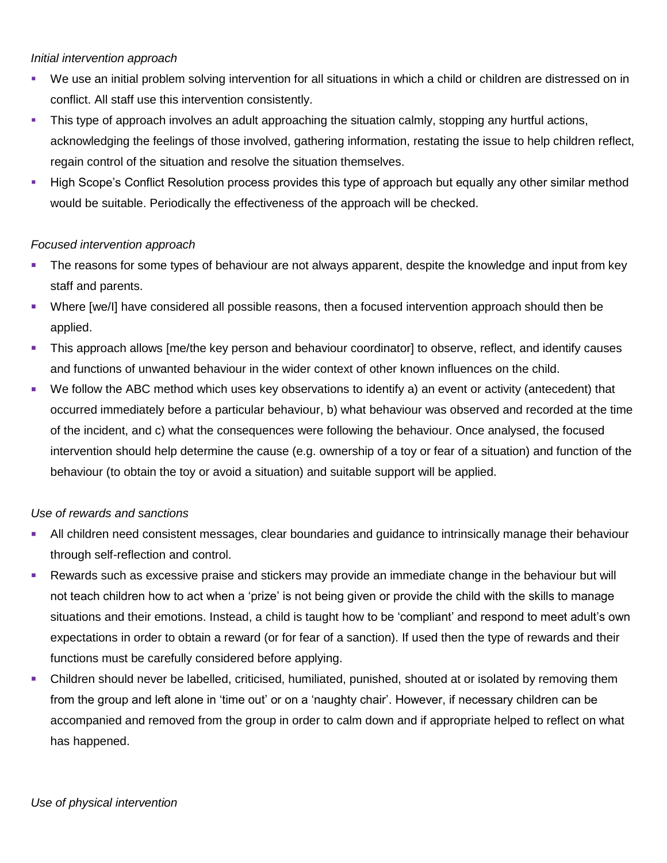#### *Initial intervention approach*

- We use an initial problem solving intervention for all situations in which a child or children are distressed on in conflict. All staff use this intervention consistently.
- This type of approach involves an adult approaching the situation calmly, stopping any hurtful actions, acknowledging the feelings of those involved, gathering information, restating the issue to help children reflect, regain control of the situation and resolve the situation themselves.
- **High Scope's Conflict Resolution process provides this type of approach but equally any other similar method** would be suitable. Periodically the effectiveness of the approach will be checked.

### *Focused intervention approach*

- The reasons for some types of behaviour are not always apparent, despite the knowledge and input from key staff and parents.
- Where [we/I] have considered all possible reasons, then a focused intervention approach should then be applied.
- This approach allows [me/the key person and behaviour coordinator] to observe, reflect, and identify causes and functions of unwanted behaviour in the wider context of other known influences on the child.
- We follow the ABC method which uses key observations to identify a) an event or activity (antecedent) that occurred immediately before a particular behaviour, b) what behaviour was observed and recorded at the time of the incident, and c) what the consequences were following the behaviour. Once analysed, the focused intervention should help determine the cause (e.g. ownership of a toy or fear of a situation) and function of the behaviour (to obtain the toy or avoid a situation) and suitable support will be applied.

## *Use of rewards and sanctions*

- All children need consistent messages, clear boundaries and guidance to intrinsically manage their behaviour through self-reflection and control.
- **Rewards such as excessive praise and stickers may provide an immediate change in the behaviour but will** not teach children how to act when a 'prize' is not being given or provide the child with the skills to manage situations and their emotions. Instead, a child is taught how to be 'compliant' and respond to meet adult's own expectations in order to obtain a reward (or for fear of a sanction). If used then the type of rewards and their functions must be carefully considered before applying.
- Children should never be labelled, criticised, humiliated, punished, shouted at or isolated by removing them from the group and left alone in 'time out' or on a 'naughty chair'. However, if necessary children can be accompanied and removed from the group in order to calm down and if appropriate helped to reflect on what has happened.